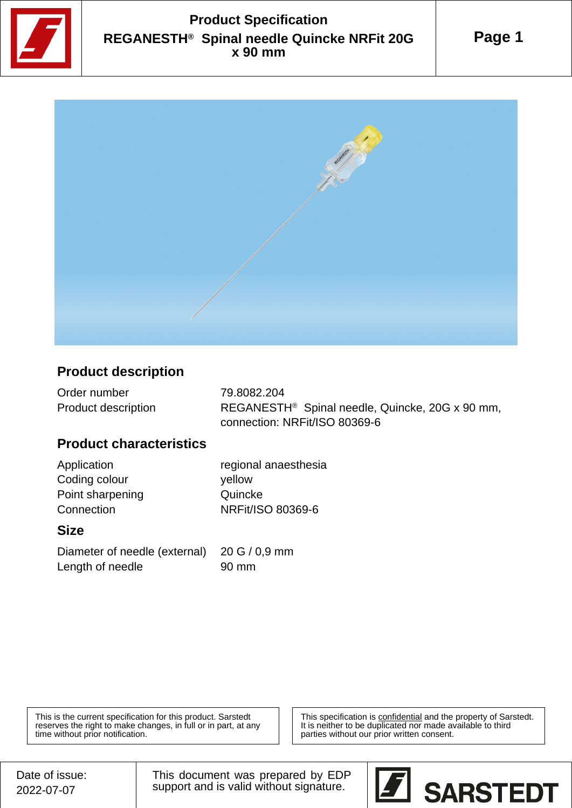

## **Product Specification REGANESTH® Spinal needle Quincke NRFit 20G x 90 mm**





### **Product description**

| Order number        | 79.8082.204                                                 |
|---------------------|-------------------------------------------------------------|
| Product description | REGANESTH <sup>®</sup> Spinal needle, Quincke, 20G x 90 mm, |
|                     | connection: NRFit/ISO 80369-6                               |

#### **Product characteristics**

Coding colour button of the yellow Point sharpening **Quincke** Connection NRFit/ISO 80369-6

Application regional anaesthesia

#### **Size**

Diameter of needle (external) 20 G / 0,9 mm Length of needle 90 mm

This is the current specification for this product. Sarstedt reserves the right to make changes, in full or in part, at any time without prior notification.

This specification is **confidential** and the property of Sarstedt. It is neither to be duplicated nor made available to third parties without our prior written consent.

This document was prepared by EDP support and is valid without signature.